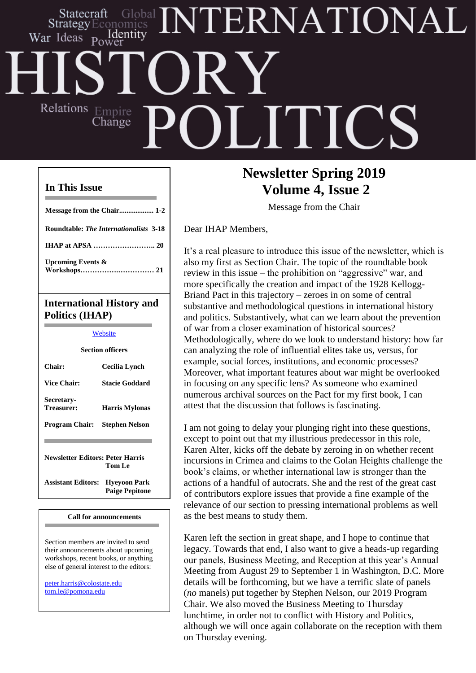## ERNATIONAL Statecraft Identity War Ideas Relations Empire **JITIC** Change

## **In This Issue**

| $\mathbf{T}$ , and a single set of $\mathbf{I}$ , $\mathbf{T}$ , and a single set of $\mathbf{I}$ , |
|-----------------------------------------------------------------------------------------------------|
|                                                                                                     |
| Upcoming Events $\&$                                                                                |
|                                                                                                     |
| <b>Roundtable: The Internationalists 3-18</b>                                                       |
| Message from the Chair 1-2                                                                          |

## **International History and Politics (IHAP)**

## **[Website](http://web.apsanet.org/ihap/)**

| <b>Section officers</b>                    |                                              |  |
|--------------------------------------------|----------------------------------------------|--|
| Chair:                                     | Cecilia Lynch                                |  |
| <b>Vice Chair:</b>                         | Stacie Goddard                               |  |
| <b>Secretary-</b><br>Treasurer:            | <b>Harris Mylonas</b>                        |  |
| Program Chair:                             | Stephen Nelson                               |  |
| Newsletter Editors: Peter Harris<br>Tom Le |                                              |  |
| <b>Assistant Editors:</b>                  | <b>Hyeyoon Park</b><br><b>Paige Pepitone</b> |  |

#### **Call for announcements**

Section members are invited to send their announcements about upcoming workshops, recent books, or anything else of general interest to the editors:

[peter.harris@colostate.edu](mailto:peter.harris@colostate.edu) [tom.le@pomona.edu](mailto:tom.le@pomona.edu)

## **Newsletter Spring 2019 Volume 4, Issue 2**

Message from the Chair

Dear IHAP Members,

It's a real pleasure to introduce this issue of the newsletter, which is also my first as Section Chair. The topic of the roundtable book review in this issue – the prohibition on "aggressive" war, and more specifically the creation and impact of the 1928 Kellogg-Briand Pact in this trajectory – zeroes in on some of central substantive and methodological questions in international history and politics. Substantively, what can we learn about the prevention of war from a closer examination of historical sources? Methodologically, where do we look to understand history: how far can analyzing the role of influential elites take us, versus, for example, social forces, institutions, and economic processes? Moreover, what important features about war might be overlooked in focusing on any specific lens? As someone who examined numerous archival sources on the Pact for my first book, I can attest that the discussion that follows is fascinating.

I am not going to delay your plunging right into these questions, except to point out that my illustrious predecessor in this role, Karen Alter, kicks off the debate by zeroing in on whether recent incursions in Crimea and claims to the Golan Heights challenge the book's claims, or whether international law is stronger than the actions of a handful of autocrats. She and the rest of the great cast of contributors explore issues that provide a fine example of the relevance of our section to pressing international problems as well as the best means to study them.

although we will once again collaborate on the reception with them Karen left the section in great shape, and I hope to continue that legacy. Towards that end, I also want to give a heads-up regarding our panels, Business Meeting, and Reception at this year's Annual Meeting from August 29 to September 1 in Washington, D.C. More details will be forthcoming, but we have a terrific slate of panels (*no* manels) put together by Stephen Nelson, our 2019 Program Chair. We also moved the Business Meeting to Thursday lunchtime, in order not to conflict with History and Politics, on Thursday evening.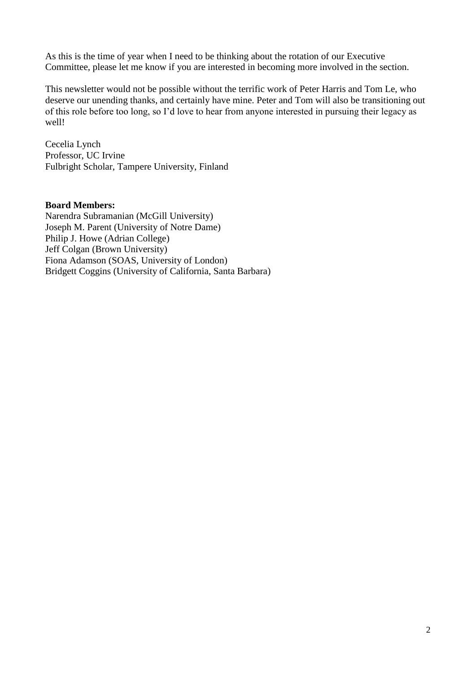As this is the time of year when I need to be thinking about the rotation of our Executive Committee, please let me know if you are interested in becoming more involved in the section.

This newsletter would not be possible without the terrific work of Peter Harris and Tom Le, who deserve our unending thanks, and certainly have mine. Peter and Tom will also be transitioning out of this role before too long, so I'd love to hear from anyone interested in pursuing their legacy as well!

Cecelia Lynch Professor, UC Irvine Fulbright Scholar, Tampere University, Finland

### **Board Members:**

Narendra Subramanian (McGill University) Joseph M. Parent (University of Notre Dame) Philip J. Howe (Adrian College) Jeff Colgan (Brown University) Fiona Adamson (SOAS, University of London) Bridgett Coggins (University of California, Santa Barbara)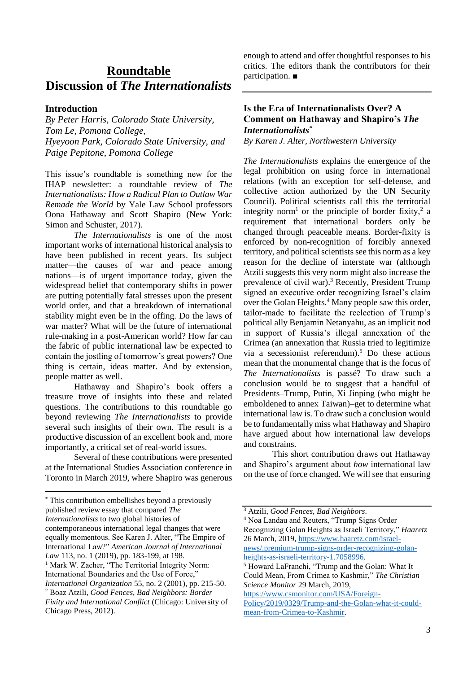## **Roundtable Discussion of** *The Internationalists*

#### **Introduction**

*By Peter Harris, Colorado State University, Tom Le, Pomona College, Hyeyoon Park, Colorado State University, and Paige Pepitone, Pomona College*

This issue's roundtable is something new for the IHAP newsletter: a roundtable review of *The Internationalists: How a Radical Plan to Outlaw War Remade the World* by Yale Law School professors Oona Hathaway and Scott Shapiro (New York: Simon and Schuster, 2017).

*The Internationalists* is one of the most important works of international historical analysis to have been published in recent years. Its subject matter—the causes of war and peace among nations—is of urgent importance today, given the widespread belief that contemporary shifts in power are putting potentially fatal stresses upon the present world order, and that a breakdown of international stability might even be in the offing. Do the laws of war matter? What will be the future of international rule-making in a post-American world? How far can the fabric of public international law be expected to contain the jostling of tomorrow's great powers? One thing is certain, ideas matter. And by extension, people matter as well.

Hathaway and Shapiro's book offers a treasure trove of insights into these and related questions. The contributions to this roundtable go beyond reviewing *The Internationalists* to provide several such insights of their own. The result is a productive discussion of an excellent book and, more importantly, a critical set of real-world issues.

Several of these contributions were presented at the International Studies Association conference in Toronto in March 2019, where Shapiro was generous

1

enough to attend and offer thoughtful responses to his critics. The editors thank the contributors for their participation. ■

## **Is the Era of Internationalists Over? A Comment on Hathaway and Shapiro's** *The Internationalists\**

*By Karen J. Alter, Northwestern University*

*The Internationalists* explains the emergence of the legal prohibition on using force in international relations (with an exception for self-defense, and collective action authorized by the UN Security Council). Political scientists call this the territorial integrity norm<sup>1</sup> or the principle of border fixity,<sup>2</sup> a requirement that international borders only be changed through peaceable means. Border-fixity is enforced by non-recognition of forcibly annexed territory, and political scientists see this norm as a key reason for the decline of interstate war (although Atzili suggests this very norm might also increase the prevalence of civil war).<sup>3</sup> Recently, President Trump signed an executive order recognizing Israel's claim over the Golan Heights.<sup>4</sup> Many people saw this order, tailor-made to facilitate the reelection of Trump's political ally Benjamin Netanyahu, as an implicit nod in support of Russia's illegal annexation of the Crimea (an annexation that Russia tried to legitimize via a secessionist referendum).<sup>5</sup> Do these actions mean that the monumental change that is the focus of *The Internationalists* is passé? To draw such a conclusion would be to suggest that a handful of Presidents–Trump, Putin, Xi Jinping (who might be emboldened to annex Taiwan)–get to determine what international law is. To draw such a conclusion would be to fundamentally miss what Hathaway and Shapiro have argued about how international law develops and constrains.

This short contribution draws out Hathaway and Shapiro's argument about *how* international law on the use of force changed. We will see that ensuring

<sup>\*</sup> This contribution embellishes beyond a previously published review essay that compared *The Internationalists* to two global histories of contemporaneous international legal changes that were equally momentous. See Karen J. Alter, "The Empire of International Law?" *American Journal of International Law* 113, no. 1 (2019), pp. 183-199, at 198. <sup>1</sup> Mark W. Zacher, "The Territorial Integrity Norm: International Boundaries and the Use of Force," *International Organization* 55, no. 2 (2001), pp. 215-50. <sup>2</sup> Boaz Atzili, *Good Fences, Bad Neighbors: Border Fixity and International Conflict* (Chicago: University of Chicago Press, 2012).

<sup>3</sup> Atzili, *Good Fences, Bad Neighbors*.

<sup>4</sup> Noa Landau and Reuters, "Trump Signs Order Recognizing Golan Heights as Israeli Territory," *Haaretz* 

<sup>26</sup> March, 2019, [https://www.haaretz.com/israel-](https://www.haaretz.com/israel-news/.premium-trump-signs-order-recognizing-golan-heights-as-israeli-territory-1.7058996)

[news/.premium-trump-signs-order-recognizing-golan](https://www.haaretz.com/israel-news/.premium-trump-signs-order-recognizing-golan-heights-as-israeli-territory-1.7058996)[heights-as-israeli-territory-1.7058996.](https://www.haaretz.com/israel-news/.premium-trump-signs-order-recognizing-golan-heights-as-israeli-territory-1.7058996)

<sup>5</sup> Howard LaFranchi, "Trump and the Golan: What It Could Mean, From Crimea to Kashmir," *The Christian Science Monitor* 29 March, 2019,

[https://www.csmonitor.com/USA/Foreign-](https://www.csmonitor.com/USA/Foreign-Policy/2019/0329/Trump-and-the-Golan-what-it-could-mean-from-Crimea-to-Kashmir)[Policy/2019/0329/Trump-and-the-Golan-what-it-could](https://www.csmonitor.com/USA/Foreign-Policy/2019/0329/Trump-and-the-Golan-what-it-could-mean-from-Crimea-to-Kashmir)[mean-from-Crimea-to-Kashmir.](https://www.csmonitor.com/USA/Foreign-Policy/2019/0329/Trump-and-the-Golan-what-it-could-mean-from-Crimea-to-Kashmir)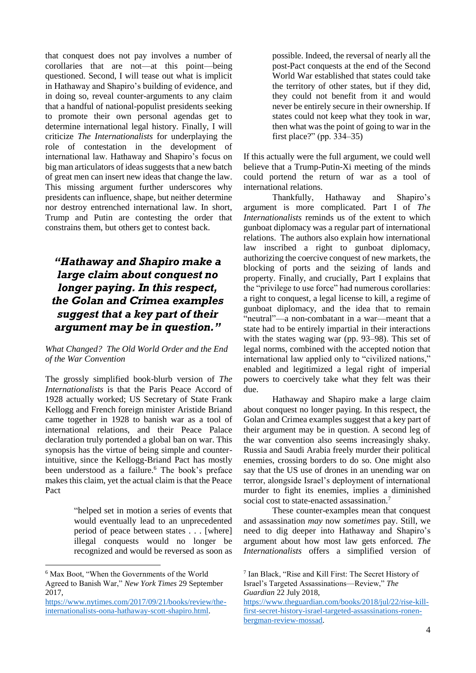that conquest does not pay involves a number of corollaries that are not—at this point—being questioned. Second, I will tease out what is implicit in Hathaway and Shapiro's building of evidence, and in doing so, reveal counter-arguments to any claim that a handful of national-populist presidents seeking to promote their own personal agendas get to determine international legal history. Finally, I will criticize *The Internationalists* for underplaying the role of contestation in the development of international law. Hathaway and Shapiro's focus on big man articulators of ideas suggests that a new batch of great men can insert new ideas that change the law. This missing argument further underscores why presidents can influence, shape, but neither determine nor destroy entrenched international law. In short, Trump and Putin are contesting the order that constrains them, but others get to contest back.

## *"Hathaway and Shapiro make a large claim about conquest no longer paying. In this respect, the Golan and Crimea examples suggest that a key part of their argument may be in question."*

#### *What Changed? The Old World Order and the End of the War Convention*

The grossly simplified book-blurb version of *The Internationalists* is that the Paris Peace Accord of 1928 actually worked; US Secretary of State Frank Kellogg and French foreign minister Aristide Briand came together in 1928 to banish war as a tool of international relations, and their Peace Palace declaration truly portended a global ban on war. This synopsis has the virtue of being simple and counterintuitive, since the Kellogg-Briand Pact has mostly been understood as a failure.<sup>6</sup> The book's preface makes this claim, yet the actual claim is that the Peace Pact

> "helped set in motion a series of events that would eventually lead to an unprecedented period of peace between states . . . [where] illegal conquests would no longer be recognized and would be reversed as soon as

1

possible. Indeed, the reversal of nearly all the post-Pact conquests at the end of the Second World War established that states could take the territory of other states, but if they did, they could not benefit from it and would never be entirely secure in their ownership. If states could not keep what they took in war, then what was the point of going to war in the first place?" (pp. 334–35)

If this actually were the full argument, we could well believe that a Trump-Putin-Xi meeting of the minds could portend the return of war as a tool of international relations.

Thankfully, Hathaway and Shapiro's argument is more complicated. Part I of *The Internationalists* reminds us of the extent to which gunboat diplomacy was a regular part of international relations. The authors also explain how international law inscribed a right to gunboat diplomacy, authorizing the coercive conquest of new markets, the blocking of ports and the seizing of lands and property. Finally, and crucially, Part I explains that the "privilege to use force" had numerous corollaries: a right to conquest, a legal license to kill, a regime of gunboat diplomacy, and the idea that to remain "neutral"—a non-combatant in a war—meant that a state had to be entirely impartial in their interactions with the states waging war (pp. 93–98). This set of legal norms, combined with the accepted notion that international law applied only to "civilized nations," enabled and legitimized a legal right of imperial powers to coercively take what they felt was their due.

Hathaway and Shapiro make a large claim about conquest no longer paying. In this respect, the Golan and Crimea examples suggest that a key part of their argument may be in question. A second leg of the war convention also seems increasingly shaky. Russia and Saudi Arabia freely murder their political enemies, crossing borders to do so. One might also say that the US use of drones in an unending war on terror, alongside Israel's deployment of international murder to fight its enemies, implies a diminished social cost to state-enacted assassination.<sup>7</sup>

These counter-examples mean that conquest and assassination *may* now *sometimes* pay. Still, we need to dig deeper into Hathaway and Shapiro's argument about how most law gets enforced. *The Internationalists* offers a simplified version of

<sup>6</sup> Max Boot, "When the Governments of the World Agreed to Banish War," *New York Times* 29 September 2017,

[https://www.nytimes.com/2017/09/21/books/review/the](https://www.nytimes.com/2017/09/21/books/review/the-internationalists-oona-hathaway-scott-shapiro.html)[internationalists-oona-hathaway-scott-shapiro.html.](https://www.nytimes.com/2017/09/21/books/review/the-internationalists-oona-hathaway-scott-shapiro.html)

<sup>7</sup> Ian Black, "Rise and Kill First: The Secret History of Israel's Targeted Assassinations—Review," *The Guardian* 22 July 2018,

[https://www.theguardian.com/books/2018/jul/22/rise-kill](https://www.theguardian.com/books/2018/jul/22/rise-kill-first-secret-history-israel-targeted-assassinations-ronen-bergman-review-mossad)[first-secret-history-israel-targeted-assassinations-ronen](https://www.theguardian.com/books/2018/jul/22/rise-kill-first-secret-history-israel-targeted-assassinations-ronen-bergman-review-mossad)[bergman-review-mossad.](https://www.theguardian.com/books/2018/jul/22/rise-kill-first-secret-history-israel-targeted-assassinations-ronen-bergman-review-mossad)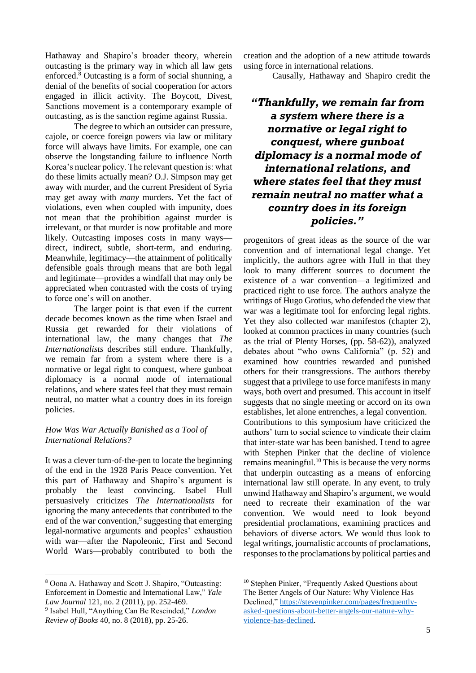Hathaway and Shapiro's broader theory, wherein outcasting is the primary way in which all law gets enforced. $8$  Outcasting is a form of social shunning, a denial of the benefits of social cooperation for actors engaged in illicit activity. The Boycott, Divest, Sanctions movement is a contemporary example of outcasting, as is the sanction regime against Russia.

The degree to which an outsider can pressure, cajole, or coerce foreign powers via law or military force will always have limits. For example, one can observe the longstanding failure to influence North Korea's nuclear policy. The relevant question is: what do these limits actually mean? O.J. Simpson may get away with murder, and the current President of Syria may get away with *many* murders. Yet the fact of violations, even when coupled with impunity, does not mean that the prohibition against murder is irrelevant, or that murder is now profitable and more likely. Outcasting imposes costs in many ways direct, indirect, subtle, short-term, and enduring. Meanwhile, legitimacy—the attainment of politically defensible goals through means that are both legal and legitimate—provides a windfall that may only be appreciated when contrasted with the costs of trying to force one's will on another.

The larger point is that even if the current decade becomes known as the time when Israel and Russia get rewarded for their violations of international law, the many changes that *The Internationalists* describes still endure. Thankfully, we remain far from a system where there is a normative or legal right to conquest, where gunboat diplomacy is a normal mode of international relations, and where states feel that they must remain neutral, no matter what a country does in its foreign policies.

#### *How Was War Actually Banished as a Tool of International Relations?*

It was a clever turn-of-the-pen to locate the beginning of the end in the 1928 Paris Peace convention. Yet this part of Hathaway and Shapiro's argument is probably the least convincing. Isabel Hull persuasively criticizes *The Internationalists* for ignoring the many antecedents that contributed to the end of the war convention,<sup>9</sup> suggesting that emerging legal-normative arguments and peoples' exhaustion with war—after the Napoleonic, First and Second World Wars—probably contributed to both the

<sup>8</sup> Oona A. Hathaway and Scott J. Shapiro, "Outcasting: Enforcement in Domestic and International Law," *Yale Law Journal* 121, no. 2 (2011), pp. 252-469.

1

9 Isabel Hull, "Anything Can Be Rescinded," *London Review of Books* 40, no. 8 (2018), pp. 25-26.

creation and the adoption of a new attitude towards using force in international relations.

Causally, Hathaway and Shapiro credit the

## *"Thankfully, we remain far from a system where there is a normative or legal right to conquest, where gunboat diplomacy is a normal mode of international relations, and where states feel that they must remain neutral no matter what a country does in its foreign policies."*

progenitors of great ideas as the source of the war convention and of international legal change. Yet implicitly, the authors agree with Hull in that they look to many different sources to document the existence of a war convention—a legitimized and practiced right to use force. The authors analyze the writings of Hugo Grotius, who defended the view that war was a legitimate tool for enforcing legal rights. Yet they also collected war manifestos (chapter 2), looked at common practices in many countries (such as the trial of Plenty Horses, (pp. 58-62)), analyzed debates about "who owns California" (p. 52) and examined how countries rewarded and punished others for their transgressions. The authors thereby suggest that a privilege to use force manifests in many ways, both overt and presumed. This account in itself suggests that no single meeting or accord on its own establishes, let alone entrenches, a legal convention. Contributions to this symposium have criticized the authors' turn to social science to vindicate their claim that inter-state war has been banished. I tend to agree with Stephen Pinker that the decline of violence remains meaningful.<sup>10</sup> This is because the very norms that underpin outcasting as a means of enforcing international law still operate. In any event, to truly unwind Hathaway and Shapiro's argument, we would need to recreate their examination of the war convention. We would need to look beyond presidential proclamations, examining practices and behaviors of diverse actors. We would thus look to legal writings, journalistic accounts of proclamations, responses to the proclamations by political parties and

<sup>&</sup>lt;sup>10</sup> Stephen Pinker, "Frequently Asked Questions about The Better Angels of Our Nature: Why Violence Has Declined," [https://stevenpinker.com/pages/frequently](https://stevenpinker.com/pages/frequently-asked-questions-about-better-angels-our-nature-why-violence-has-declined)[asked-questions-about-better-angels-our-nature-why](https://stevenpinker.com/pages/frequently-asked-questions-about-better-angels-our-nature-why-violence-has-declined)[violence-has-declined.](https://stevenpinker.com/pages/frequently-asked-questions-about-better-angels-our-nature-why-violence-has-declined)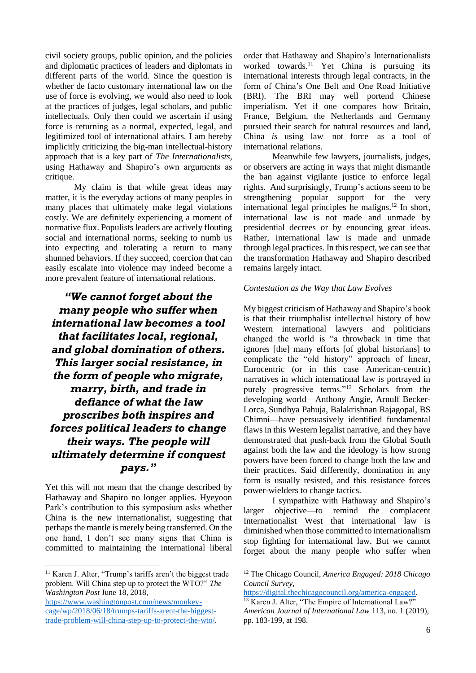civil society groups, public opinion, and the policies and diplomatic practices of leaders and diplomats in different parts of the world. Since the question is whether de facto customary international law on the use of force is evolving, we would also need to look at the practices of judges, legal scholars, and public intellectuals. Only then could we ascertain if using force is returning as a normal, expected, legal, and legitimized tool of international affairs. I am hereby implicitly criticizing the big-man intellectual-history approach that is a key part of *The Internationalists,*  using Hathaway and Shapiro's own arguments as critique.

My claim is that while great ideas may matter, it is the everyday actions of many peoples in many places that ultimately make legal violations costly. We are definitely experiencing a moment of normative flux. Populists leaders are actively flouting social and international norms, seeking to numb us into expecting and tolerating a return to many shunned behaviors. If they succeed, coercion that can easily escalate into violence may indeed become a more prevalent feature of international relations.

*"We cannot forget about the many people who suffer when international law becomes a tool that facilitates local, regional, and global domination of others. This larger social resistance, in the form of people who migrate, marry, birth, and trade in defiance of what the law proscribes both inspires and forces political leaders to change their ways. The people will ultimately determine if conquest pays."*

Yet this will not mean that the change described by Hathaway and Shapiro no longer applies. Hyeyoon Park's contribution to this symposium asks whether China is the new internationalist, suggesting that perhaps the mantle is merely being transferred. On the one hand, I don't see many signs that China is committed to maintaining the international liberal

1

order that Hathaway and Shapiro's Internationalists worked towards.<sup>11</sup> Yet China is pursuing its international interests through legal contracts, in the form of China's One Belt and One Road Initiative (BRI). The BRI may well portend Chinese imperialism. Yet if one compares how Britain, France, Belgium, the Netherlands and Germany pursued their search for natural resources and land, China *is* using law—not force—as a tool of international relations.

Meanwhile few lawyers, journalists, judges, or observers are acting in ways that might dismantle the ban against vigilante justice to enforce legal rights. And surprisingly, Trump's actions seem to be strengthening popular support for the very international legal principles he maligns.<sup>12</sup> In short, international law is not made and unmade by presidential decrees or by enouncing great ideas. Rather, international law is made and unmade through legal practices. In this respect, we can see that the transformation Hathaway and Shapiro described remains largely intact.

#### *Contestation as the Way that Law Evolves*

My biggest criticism of Hathaway and Shapiro's book is that their triumphalist intellectual history of how Western international lawyers and politicians changed the world is "a throwback in time that ignores [the] many efforts [of global historians] to complicate the "old history" approach of linear, Eurocentric (or in this case American-centric) narratives in which international law is portrayed in purely progressive terms."<sup>13</sup> Scholars from the developing world—Anthony Angie, Arnulf Becker-Lorca, Sundhya Pahuja, Balakrishnan Rajagopal, BS Chimni—have persuasively identified fundamental flaws in this Western legalist narrative, and they have demonstrated that push-back from the Global South against both the law and the ideology is how strong powers have been forced to change both the law and their practices. Said differently, domination in any form is usually resisted, and this resistance forces power-wielders to change tactics.

I sympathize with Hathaway and Shapiro's larger objective—to remind the complacent Internationalist West that international law is diminished when those committed to internationalism stop fighting for international law. But we cannot forget about the many people who suffer when

[https://digital.thechicagocouncil.org/america-engaged.](https://digital.thechicagocouncil.org/america-engaged)

<sup>11</sup> Karen J. Alter, "Trump's tariffs aren't the biggest trade problem. Will China step up to protect the WTO?" *The Washington Post* June 18, 2018,

[https://www.washingtonpost.com/news/monkey](https://www.washingtonpost.com/news/monkey-cage/wp/2018/06/18/trumps-tariffs-arent-the-biggest-trade-problem-will-china-step-up-to-protect-the-wto/)[cage/wp/2018/06/18/trumps-tariffs-arent-the-biggest](https://www.washingtonpost.com/news/monkey-cage/wp/2018/06/18/trumps-tariffs-arent-the-biggest-trade-problem-will-china-step-up-to-protect-the-wto/)[trade-problem-will-china-step-up-to-protect-the-wto/.](https://www.washingtonpost.com/news/monkey-cage/wp/2018/06/18/trumps-tariffs-arent-the-biggest-trade-problem-will-china-step-up-to-protect-the-wto/)

<sup>12</sup> The Chicago Council, *America Engaged: 2018 Chicago Council Survey*,

<sup>&</sup>lt;sup>13</sup> Karen J. Alter, "The Empire of International Law?" *American Journal of International Law* 113, no. 1 (2019), pp. 183-199, at 198.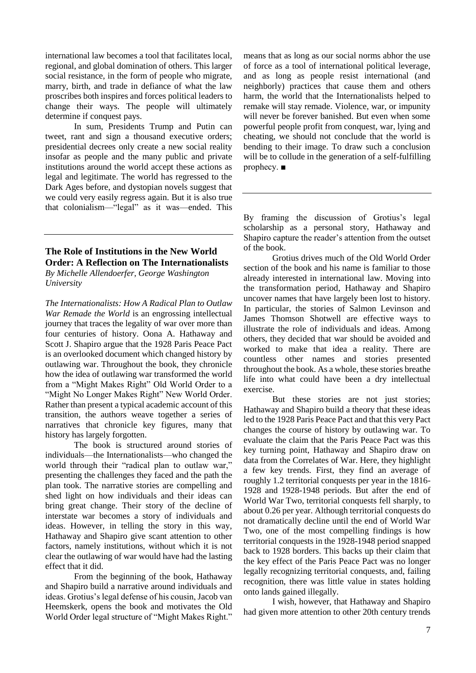international law becomes a tool that facilitates local, regional, and global domination of others. This larger social resistance, in the form of people who migrate, marry, birth, and trade in defiance of what the law proscribes both inspires and forces political leaders to change their ways. The people will ultimately determine if conquest pays.

In sum, Presidents Trump and Putin can tweet, rant and sign a thousand executive orders; presidential decrees only create a new social reality insofar as people and the many public and private institutions around the world accept these actions as legal and legitimate. The world has regressed to the Dark Ages before, and dystopian novels suggest that we could very easily regress again. But it is also true that colonialism—"legal" as it was—ended. This

## **The Role of Institutions in the New World Order: A Reflection on The Internationalists**

*By Michelle Allendoerfer, George Washington University*

*The Internationalists: How A Radical Plan to Outlaw War Remade the World* is an engrossing intellectual journey that traces the legality of war over more than four centuries of history. Oona A. Hathaway and Scott J. Shapiro argue that the 1928 Paris Peace Pact is an overlooked document which changed history by outlawing war. Throughout the book, they chronicle how the idea of outlawing war transformed the world from a "Might Makes Right" Old World Order to a "Might No Longer Makes Right" New World Order. Rather than present a typical academic account of this transition, the authors weave together a series of narratives that chronicle key figures, many that history has largely forgotten.

The book is structured around stories of individuals—the Internationalists—who changed the world through their "radical plan to outlaw war," presenting the challenges they faced and the path the plan took. The narrative stories are compelling and shed light on how individuals and their ideas can bring great change. Their story of the decline of interstate war becomes a story of individuals and ideas. However, in telling the story in this way, Hathaway and Shapiro give scant attention to other factors, namely institutions, without which it is not clear the outlawing of war would have had the lasting effect that it did.

From the beginning of the book, Hathaway and Shapiro build a narrative around individuals and ideas. Grotius's legal defense of his cousin, Jacob van Heemskerk, opens the book and motivates the Old World Order legal structure of "Might Makes Right." means that as long as our social norms abhor the use of force as a tool of international political leverage, and as long as people resist international (and neighborly) practices that cause them and others harm, the world that the Internationalists helped to remake will stay remade. Violence, war, or impunity will never be forever banished. But even when some powerful people profit from conquest, war, lying and cheating, we should not conclude that the world is bending to their image. To draw such a conclusion will be to collude in the generation of a self-fulfilling prophecy. ■

By framing the discussion of Grotius's legal scholarship as a personal story, Hathaway and Shapiro capture the reader's attention from the outset of the book.

Grotius drives much of the Old World Order section of the book and his name is familiar to those already interested in international law. Moving into the transformation period, Hathaway and Shapiro uncover names that have largely been lost to history. In particular, the stories of Salmon Levinson and James Thomson Shotwell are effective ways to illustrate the role of individuals and ideas. Among others, they decided that war should be avoided and worked to make that idea a reality. There are countless other names and stories presented throughout the book. As a whole, these stories breathe life into what could have been a dry intellectual exercise.

But these stories are not just stories; Hathaway and Shapiro build a theory that these ideas led to the 1928 Paris Peace Pact and that this very Pact changes the course of history by outlawing war. To evaluate the claim that the Paris Peace Pact was this key turning point, Hathaway and Shapiro draw on data from the Correlates of War. Here, they highlight a few key trends. First, they find an average of roughly 1.2 territorial conquests per year in the 1816- 1928 and 1928-1948 periods. But after the end of World War Two, territorial conquests fell sharply, to about 0.26 per year. Although territorial conquests do not dramatically decline until the end of World War Two, one of the most compelling findings is how territorial conquests in the 1928-1948 period snapped back to 1928 borders. This backs up their claim that the key effect of the Paris Peace Pact was no longer legally recognizing territorial conquests, and, failing recognition, there was little value in states holding onto lands gained illegally.

I wish, however, that Hathaway and Shapiro had given more attention to other 20th century trends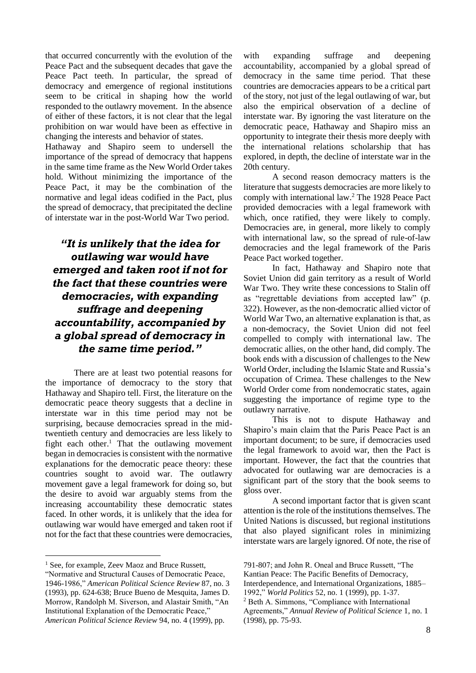that occurred concurrently with the evolution of the Peace Pact and the subsequent decades that gave the Peace Pact teeth. In particular, the spread of democracy and emergence of regional institutions seem to be critical in shaping how the world responded to the outlawry movement. In the absence of either of these factors, it is not clear that the legal prohibition on war would have been as effective in changing the interests and behavior of states.

Hathaway and Shapiro seem to undersell the importance of the spread of democracy that happens in the same time frame as the New World Order takes hold. Without minimizing the importance of the Peace Pact, it may be the combination of the normative and legal ideas codified in the Pact, plus the spread of democracy, that precipitated the decline of interstate war in the post-World War Two period.

## *"It is unlikely that the idea for outlawing war would have emerged and taken root if not for the fact that these countries were democracies, with expanding suffrage and deepening accountability, accompanied by a global spread of democracy in the same time period."*

There are at least two potential reasons for the importance of democracy to the story that Hathaway and Shapiro tell. First, the literature on the democratic peace theory suggests that a decline in interstate war in this time period may not be surprising, because democracies spread in the midtwentieth century and democracies are less likely to fight each other.<sup>1</sup> That the outlawing movement began in democracies is consistent with the normative explanations for the democratic peace theory: these countries sought to avoid war. The outlawry movement gave a legal framework for doing so, but the desire to avoid war arguably stems from the increasing accountability these democratic states faced. In other words, it is unlikely that the idea for outlawing war would have emerged and taken root if not for the fact that these countries were democracies,

1

with expanding suffrage and deepening accountability, accompanied by a global spread of democracy in the same time period. That these countries are democracies appears to be a critical part of the story, not just of the legal outlawing of war, but also the empirical observation of a decline of interstate war. By ignoring the vast literature on the democratic peace, Hathaway and Shapiro miss an opportunity to integrate their thesis more deeply with the international relations scholarship that has explored, in depth, the decline of interstate war in the 20th century.

A second reason democracy matters is the literature that suggests democracies are more likely to comply with international law.<sup>2</sup> The 1928 Peace Pact provided democracies with a legal framework with which, once ratified, they were likely to comply. Democracies are, in general, more likely to comply with international law, so the spread of rule-of-law democracies and the legal framework of the Paris Peace Pact worked together.

In fact, Hathaway and Shapiro note that Soviet Union did gain territory as a result of World War Two. They write these concessions to Stalin off as "regrettable deviations from accepted law" (p. 322). However, as the non-democratic allied victor of World War Two, an alternative explanation is that, as a non-democracy, the Soviet Union did not feel compelled to comply with international law. The democratic allies, on the other hand, did comply. The book ends with a discussion of challenges to the New World Order, including the Islamic State and Russia's occupation of Crimea. These challenges to the New World Order come from nondemocratic states, again suggesting the importance of regime type to the outlawry narrative.

This is not to dispute Hathaway and Shapiro's main claim that the Paris Peace Pact is an important document; to be sure, if democracies used the legal framework to avoid war, then the Pact is important. However, the fact that the countries that advocated for outlawing war are democracies is a significant part of the story that the book seems to gloss over.

A second important factor that is given scant attention is the role of the institutions themselves. The United Nations is discussed, but regional institutions that also played significant roles in minimizing interstate wars are largely ignored. Of note, the rise of

<sup>&</sup>lt;sup>1</sup> See, for example, Zeev Maoz and Bruce Russett,

<sup>&</sup>quot;Normative and Structural Causes of Democratic Peace, 1946-1986," *American Political Science Review* 87, no. 3 (1993), pp. 624-638; Bruce Bueno de Mesquita, James D. Morrow, Randolph M. Siverson, and Alastair Smith, "An Institutional Explanation of the Democratic Peace," *American Political Science Review* 94, no. 4 (1999), pp.

<sup>791-807;</sup> and John R. Oneal and Bruce Russett, "The Kantian Peace: The Pacific Benefits of Democracy,

Interdependence, and International Organizations, 1885– 1992," *World Politics* 52, no. 1 (1999), pp. 1-37.

<sup>2</sup> Beth A. Simmons, "Compliance with International Agreements," *Annual Review of Political Science* 1, no. 1 (1998), pp. 75-93.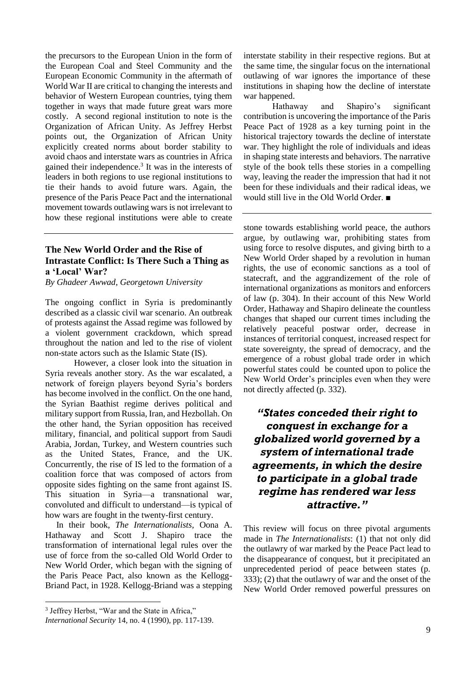the precursors to the European Union in the form of the European Coal and Steel Community and the European Economic Community in the aftermath of World War II are critical to changing the interests and behavior of Western European countries, tying them together in ways that made future great wars more costly. A second regional institution to note is the Organization of African Unity. As Jeffrey Herbst points out, the Organization of African Unity explicitly created norms about border stability to avoid chaos and interstate wars as countries in Africa gained their independence.<sup>3</sup> It was in the interests of leaders in both regions to use regional institutions to tie their hands to avoid future wars. Again, the presence of the Paris Peace Pact and the international movement towards outlawing wars is not irrelevant to how these regional institutions were able to create

## **The New World Order and the Rise of Intrastate Conflict: Is There Such a Thing as a 'Local' War?**

*By Ghadeer Awwad, Georgetown University*

The ongoing conflict in Syria is predominantly described as a classic civil war scenario. An outbreak of protests against the Assad regime was followed by a violent government crackdown, which spread throughout the nation and led to the rise of violent non-state actors such as the Islamic State (IS).

However, a closer look into the situation in Syria reveals another story. As the war escalated, a network of foreign players beyond Syria's borders has become involved in the conflict. On the one hand, the Syrian Baathist regime derives political and military support from Russia, Iran, and Hezbollah. On the other hand, the Syrian opposition has received military, financial, and political support from Saudi Arabia, Jordan, Turkey, and Western countries such as the United States, France, and the UK. Concurrently, the rise of IS led to the formation of a coalition force that was composed of actors from opposite sides fighting on the same front against IS. This situation in Syria—a transnational war, convoluted and difficult to understand—is typical of how wars are fought in the twenty-first century.

 In their book, *The Internationalists,* Oona A. Hathaway and Scott J. Shapiro trace the transformation of international legal rules over the use of force from the so-called Old World Order to New World Order, which began with the signing of the Paris Peace Pact, also known as the Kellogg-Briand Pact, in 1928. Kellogg-Briand was a stepping

<u>.</u>

interstate stability in their respective regions. But at the same time, the singular focus on the international outlawing of war ignores the importance of these institutions in shaping how the decline of interstate war happened.

Hathaway and Shapiro's significant contribution is uncovering the importance of the Paris Peace Pact of 1928 as a key turning point in the historical trajectory towards the decline of interstate war. They highlight the role of individuals and ideas in shaping state interests and behaviors. The narrative style of the book tells these stories in a compelling way, leaving the reader the impression that had it not been for these individuals and their radical ideas, we would still live in the Old World Order. ■

stone towards establishing world peace, the authors argue, by outlawing war, prohibiting states from using force to resolve disputes, and giving birth to a New World Order shaped by a revolution in human rights, the use of economic sanctions as a tool of statecraft, and the aggrandizement of the role of international organizations as monitors and enforcers of law (p. 304). In their account of this New World Order, Hathaway and Shapiro delineate the countless changes that shaped our current times including the relatively peaceful postwar order, decrease in instances of territorial conquest, increased respect for state sovereignty, the spread of democracy, and the emergence of a robust global trade order in which powerful states could be counted upon to police the New World Order's principles even when they were not directly affected (p. 332).

## *"States conceded their right to conquest in exchange for a globalized world governed by a system of international trade agreements, in which the desire to participate in a global trade regime has rendered war less attractive."*

This review will focus on three pivotal arguments made in *The Internationalists*: (1) that not only did the outlawry of war marked by the Peace Pact lead to the disappearance of conquest, but it precipitated an unprecedented period of peace between states (p. 333); (2) that the outlawry of war and the onset of the New World Order removed powerful pressures on

<sup>&</sup>lt;sup>3</sup> Jeffrey Herbst, "War and the State in Africa,"

*International Security* 14, no. 4 (1990), pp. 117-139.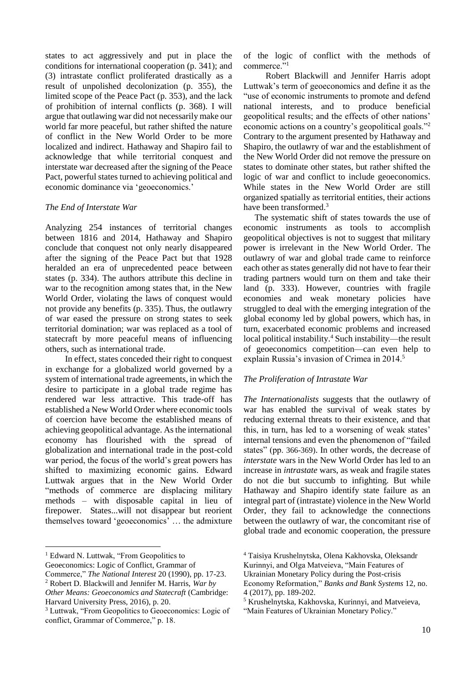states to act aggressively and put in place the conditions for international cooperation (p. 341); and (3) intrastate conflict proliferated drastically as a result of unpolished decolonization (p. 355), the limited scope of the Peace Pact (p. 353), and the lack of prohibition of internal conflicts (p. 368). I will argue that outlawing war did not necessarily make our world far more peaceful, but rather shifted the nature of conflict in the New World Order to be more localized and indirect. Hathaway and Shapiro fail to acknowledge that while territorial conquest and interstate war decreased after the signing of the Peace Pact, powerful states turned to achieving political and economic dominance via 'geoeconomics.'

#### *The End of Interstate War*

Analyzing 254 instances of territorial changes between 1816 and 2014, Hathaway and Shapiro conclude that conquest not only nearly disappeared after the signing of the Peace Pact but that 1928 heralded an era of unprecedented peace between states (p. 334). The authors attribute this decline in war to the recognition among states that, in the New World Order, violating the laws of conquest would not provide any benefits (p. 335). Thus, the outlawry of war eased the pressure on strong states to seek territorial domination; war was replaced as a tool of statecraft by more peaceful means of influencing others, such as international trade.

 In effect, states conceded their right to conquest in exchange for a globalized world governed by a system of international trade agreements, in which the desire to participate in a global trade regime has rendered war less attractive. This trade-off has established a New World Order where economic tools of coercion have become the established means of achieving geopolitical advantage. As the international economy has flourished with the spread of globalization and international trade in the post-cold war period, the focus of the world's great powers has shifted to maximizing economic gains. Edward Luttwak argues that in the New World Order "methods of commerce are displacing military methods – with disposable capital in lieu of firepower. States...will not disappear but reorient themselves toward 'geoeconomics' … the admixture

<sup>1</sup> Edward N. Luttwak, "From Geopolitics to

1

of the logic of conflict with the methods of commerce."<sup>1</sup>

 Robert Blackwill and Jennifer Harris adopt Luttwak's term of geoeconomics and define it as the "use of economic instruments to promote and defend national interests, and to produce beneficial geopolitical results; and the effects of other nations' economic actions on a country's geopolitical goals."<sup>2</sup> Contrary to the argument presented by Hathaway and Shapiro, the outlawry of war and the establishment of the New World Order did not remove the pressure on states to dominate other states, but rather shifted the logic of war and conflict to include geoeconomics. While states in the New World Order are still organized spatially as territorial entities, their actions have been transformed.<sup>3</sup>

 The systematic shift of states towards the use of economic instruments as tools to accomplish geopolitical objectives is not to suggest that military power is irrelevant in the New World Order. The outlawry of war and global trade came to reinforce each other as states generally did not have to fear their trading partners would turn on them and take their land (p. 333). However, countries with fragile economies and weak monetary policies have struggled to deal with the emerging integration of the global economy led by global powers, which has, in turn, exacerbated economic problems and increased local political instability.<sup>4</sup> Such instability—the result of geoeconomics competition—can even help to explain Russia's invasion of Crimea in 2014.<sup>5</sup>

#### *The Proliferation of Intrastate War*

*The Internationalists* suggests that the outlawry of war has enabled the survival of weak states by reducing external threats to their existence, and that this, in turn, has led to a worsening of weak states' internal tensions and even the phenomenon of "failed states" (pp. 366-369). In other words, the decrease of *interstate* wars in the New World Order has led to an increase in *intrastate* wars, as weak and fragile states do not die but succumb to infighting. But while Hathaway and Shapiro identify state failure as an integral part of (intrastate) violence in the New World Order, they fail to acknowledge the connections between the outlawry of war, the concomitant rise of global trade and economic cooperation, the pressure

Kurinnyi, and Olga Matveieva, "Main Features of

Economy Reformation," *Banks and Bank Systems* 12, no. 4 (2017), pp. 189-202.

Geoeconomics: Logic of Conflict, Grammar of

Commerce," *The National Interest* 20 (1990), pp. 17-23. <sup>2</sup> Robert D. Blackwill and Jennifer M. Harris, *War by Other Means: Geoeconomics and Statecraft* (Cambridge:

Harvard University Press, 2016), p. 20.

<sup>3</sup> Luttwak, "From Geopolitics to Geoeconomics: Logic of conflict, Grammar of Commerce," p. 18.

<sup>4</sup> Taisiya Krushelnytska, Olena Kakhovska, Oleksandr

Ukrainian Monetary Policy during the Post-crisis

<sup>5</sup> Krushelnytska, Kakhovska, Kurinnyi, and Matveieva, "Main Features of Ukrainian Monetary Policy."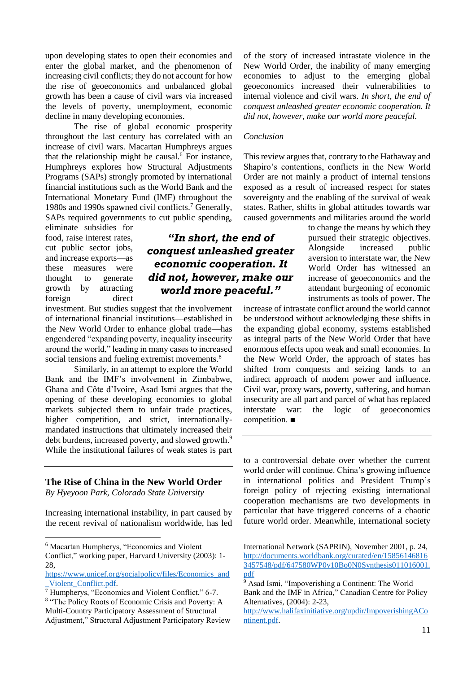upon developing states to open their economies and enter the global market, and the phenomenon of increasing civil conflicts; they do not account for how the rise of geoeconomics and unbalanced global growth has been a cause of civil wars via increased the levels of poverty, unemployment, economic decline in many developing economies.

The rise of global economic prosperity throughout the last century has correlated with an increase of civil wars. Macartan Humphreys argues that the relationship might be causal. $6$  For instance, Humphreys explores how Structural Adjustments Programs (SAPs) strongly promoted by international financial institutions such as the World Bank and the International Monetary Fund (IMF) throughout the 1980s and 1990s spawned civil conflicts.<sup>7</sup> Generally, SAPs required governments to cut public spending,

eliminate subsidies for food, raise interest rates, cut public sector jobs, and increase exports—as these measures were thought to generate growth by attracting

foreign direct investment. But studies suggest that the involvement of international financial institutions—established in the New World Order to enhance global trade—has engendered "expanding poverty, inequality insecurity around the world," leading in many cases to increased social tensions and fueling extremist movements.<sup>8</sup>

Similarly, in an attempt to explore the World Bank and the IMF's involvement in Zimbabwe, Ghana and Côte d'Ivoire, Asad Ismi argues that the opening of these developing economies to global markets subjected them to unfair trade practices, higher competition, and strict, internationallymandated instructions that ultimately increased their debt burdens, increased poverty, and slowed growth.<sup>9</sup> While the institutional failures of weak states is part

#### **The Rise of China in the New World Order**

*By Hyeyoon Park, Colorado State University* 

<u>.</u>

Increasing international instability, in part caused by the recent revival of nationalism worldwide, has led

of the story of increased intrastate violence in the New World Order, the inability of many emerging economies to adjust to the emerging global geoeconomics increased their vulnerabilities to internal violence and civil wars. *In short, the end of conquest unleashed greater economic cooperation. It did not, however, make our world more peaceful.* 

#### *Conclusion*

This review argues that, contrary to the Hathaway and Shapiro's contentions, conflicts in the New World Order are not mainly a product of internal tensions exposed as a result of increased respect for states sovereignty and the enabling of the survival of weak states. Rather, shifts in global attitudes towards war caused governments and militaries around the world

> to change the means by which they pursued their strategic objectives. Alongside increased public aversion to interstate war, the New World Order has witnessed an increase of geoeconomics and the attendant burgeoning of economic instruments as tools of power. The

increase of intrastate conflict around the world cannot be understood without acknowledging these shifts in the expanding global economy, systems established as integral parts of the New World Order that have enormous effects upon weak and small economies. In the New World Order, the approach of states has shifted from conquests and seizing lands to an indirect approach of modern power and influence. Civil war, proxy wars, poverty, suffering, and human insecurity are all part and parcel of what has replaced interstate war: the logic of geoeconomics competition. ■

to a controversial debate over whether the current world order will continue. China's growing influence in international politics and President Trump's foreign policy of rejecting existing international cooperation mechanisms are two developments in particular that have triggered concerns of a chaotic future world order. Meanwhile, international society

## *"In short, the end of conquest unleashed greater economic cooperation. It did not, however, make our world more peaceful."*

<sup>6</sup> Macartan Humpherys, "Economics and Violent Conflict," working paper, Harvard University (2003): 1- 28,

[https://www.unicef.org/socialpolicy/files/Economics\\_and](https://www.unicef.org/socialpolicy/files/Economics_and_Violent_Conflict.pdf) [\\_Violent\\_Conflict.pdf.](https://www.unicef.org/socialpolicy/files/Economics_and_Violent_Conflict.pdf)

<sup>7</sup> Humpherys, "Economics and Violent Conflict," 6-7. 8 "The Policy Roots of Economic Crisis and Poverty: A Multi-Country Participatory Assessment of Structural Adjustment," Structural Adjustment Participatory Review

International Network (SAPRIN), November 2001, p. 24, [http://documents.worldbank.org/curated/en/15856146816](http://documents.worldbank.org/curated/en/158561468163457548/pdf/647580WP0v10Bo0N0Synthesis011016001.pdf) [3457548/pdf/647580WP0v10Bo0N0Synthesis011016001.](http://documents.worldbank.org/curated/en/158561468163457548/pdf/647580WP0v10Bo0N0Synthesis011016001.pdf) [pdf](http://documents.worldbank.org/curated/en/158561468163457548/pdf/647580WP0v10Bo0N0Synthesis011016001.pdf)

 $\sqrt[5]{9}$  Asad Ismi, "Impoverishing a Continent: The World Bank and the IMF in Africa," Canadian Centre for Policy Alternatives, (2004): 2-23,

[http://www.halifaxinitiative.org/updir/ImpoverishingACo](http://www.halifaxinitiative.org/updir/ImpoverishingAContinent.pdf) [ntinent.pdf.](http://www.halifaxinitiative.org/updir/ImpoverishingAContinent.pdf)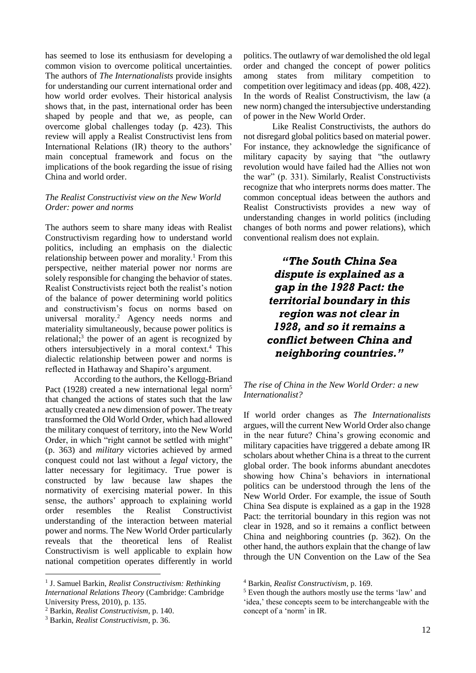has seemed to lose its enthusiasm for developing a common vision to overcome political uncertainties. The authors of *The Internationalists* provide insights for understanding our current international order and how world order evolves. Their historical analysis shows that, in the past, international order has been shaped by people and that we, as people, can overcome global challenges today (p. 423). This review will apply a Realist Constructivist lens from International Relations (IR) theory to the authors' main conceptual framework and focus on the implications of the book regarding the issue of rising China and world order.

#### *The Realist Constructivist view on the New World Order: power and norms*

The authors seem to share many ideas with Realist Constructivism regarding how to understand world politics, including an emphasis on the dialectic relationship between power and morality.<sup>1</sup> From this perspective, neither material power nor norms are solely responsible for changing the behavior of states. Realist Constructivists reject both the realist's notion of the balance of power determining world politics and constructivism's focus on norms based on universal morality.<sup>2</sup> Agency needs norms and materiality simultaneously, because power politics is relational;<sup>3</sup> the power of an agent is recognized by others intersubjectively in a moral context.<sup>4</sup> This dialectic relationship between power and norms is reflected in Hathaway and Shapiro's argument.

According to the authors, the Kellogg-Briand Pact (1928) created a new international legal norm<sup>5</sup> that changed the actions of states such that the law actually created a new dimension of power. The treaty transformed the Old World Order, which had allowed the military conquest of territory, into the New World Order, in which "right cannot be settled with might" (p. 363) and *military* victories achieved by armed conquest could not last without a *legal* victory, the latter necessary for legitimacy. True power is constructed by law because law shapes the normativity of exercising material power. In this sense, the authors' approach to explaining world order resembles the Realist Constructivist understanding of the interaction between material power and norms. The New World Order particularly reveals that the theoretical lens of Realist Constructivism is well applicable to explain how national competition operates differently in world

1

politics. The outlawry of war demolished the old legal order and changed the concept of power politics among states from military competition to competition over legitimacy and ideas (pp. 408, 422). In the words of Realist Constructivism, the law (a new norm) changed the intersubjective understanding of power in the New World Order.

Like Realist Constructivists, the authors do not disregard global politics based on material power. For instance, they acknowledge the significance of military capacity by saying that "the outlawry revolution would have failed had the Allies not won the war" (p. 331). Similarly, Realist Constructivists recognize that who interprets norms does matter. The common conceptual ideas between the authors and Realist Constructivists provides a new way of understanding changes in world politics (including changes of both norms and power relations), which conventional realism does not explain.

> *"The South China Sea dispute is explained as a gap in the 1928 Pact: the territorial boundary in this region was not clear in 1928, and so it remains a conflict between China and neighboring countries."*

#### *The rise of China in the New World Order: a new Internationalist?*

If world order changes as *The Internationalists*  argues, will the current New World Order also change in the near future? China's growing economic and military capacities have triggered a debate among IR scholars about whether China is a threat to the current global order. The book informs abundant anecdotes showing how China's behaviors in international politics can be understood through the lens of the New World Order. For example, the issue of South China Sea dispute is explained as a gap in the 1928 Pact: the territorial boundary in this region was not clear in 1928, and so it remains a conflict between China and neighboring countries (p. 362). On the other hand, the authors explain that the change of law through the UN Convention on the Law of the Sea

<sup>1</sup> J. Samuel Barkin, *Realist Constructivism: Rethinking International Relations Theory* (Cambridge: Cambridge University Press, 2010), p. 135.

<sup>2</sup> Barkin, *Realist Constructivism*, p. 140.

<sup>3</sup> Barkin, *Realist Constructivism*, p. 36.

<sup>4</sup> Barkin, *Realist Constructivism*, p. 169.

<sup>5</sup> Even though the authors mostly use the terms 'law' and 'idea,' these concepts seem to be interchangeable with the concept of a 'norm' in IR.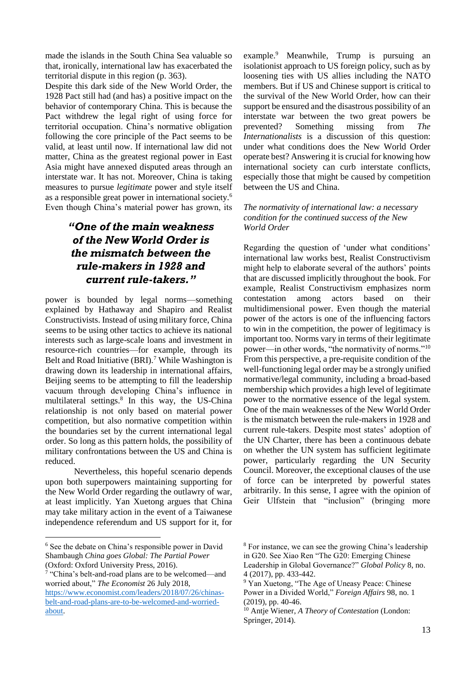made the islands in the South China Sea valuable so that, ironically, international law has exacerbated the territorial dispute in this region (p. 363).

Despite this dark side of the New World Order, the 1928 Pact still had (and has) a positive impact on the behavior of contemporary China. This is because the Pact withdrew the legal right of using force for territorial occupation. China's normative obligation following the core principle of the Pact seems to be valid, at least until now. If international law did not matter, China as the greatest regional power in East Asia might have annexed disputed areas through an interstate war. It has not. Moreover, China is taking measures to pursue *legitimate* power and style itself as a responsible great power in international society.<sup>6</sup> Even though China's material power has grown, its

## *"One of the main weakness of the New World Order is the mismatch between the rule-makers in 1928 and current rule-takers."*

power is bounded by legal norms—something explained by Hathaway and Shapiro and Realist Constructivists. Instead of using military force, China seems to be using other tactics to achieve its national interests such as large-scale loans and investment in resource-rich countries—for example, through its Belt and Road Initiative (BRI).<sup>7</sup> While Washington is drawing down its leadership in international affairs, Beijing seems to be attempting to fill the leadership vacuum through developing China's influence in multilateral settings.<sup>8</sup> In this way, the US-China relationship is not only based on material power competition, but also normative competition within the boundaries set by the current international legal order. So long as this pattern holds, the possibility of military confrontations between the US and China is reduced.

Nevertheless, this hopeful scenario depends upon both superpowers maintaining supporting for the New World Order regarding the outlawry of war, at least implicitly. Yan Xuetong argues that China may take military action in the event of a Taiwanese independence referendum and US support for it, for

<u>.</u>

[about.](https://www.economist.com/leaders/2018/07/26/chinas-belt-and-road-plans-are-to-be-welcomed-and-worried-about)

example.<sup>9</sup> Meanwhile, Trump is pursuing an isolationist approach to US foreign policy, such as by loosening ties with US allies including the NATO members. But if US and Chinese support is critical to the survival of the New World Order, how can their support be ensured and the disastrous possibility of an interstate war between the two great powers be prevented? Something missing from *The Internationalists* is a discussion of this question: under what conditions does the New World Order operate best? Answering it is crucial for knowing how international society can curb interstate conflicts, especially those that might be caused by competition between the US and China.

#### *The normativity of international law: a necessary condition for the continued success of the New World Order*

Regarding the question of 'under what conditions' international law works best, Realist Constructivism might help to elaborate several of the authors' points that are discussed implicitly throughout the book. For example, Realist Constructivism emphasizes norm contestation among actors based on their multidimensional power. Even though the material power of the actors is one of the influencing factors to win in the competition, the power of legitimacy is important too. Norms vary in terms of their legitimate power—in other words, "the normativity of norms."<sup>10</sup> From this perspective, a pre-requisite condition of the well-functioning legal order may be a strongly unified normative/legal community, including a broad-based membership which provides a high level of legitimate power to the normative essence of the legal system. One of the main weaknesses of the New World Order is the mismatch between the rule-makers in 1928 and current rule-takers. Despite most states' adoption of the UN Charter, there has been a continuous debate on whether the UN system has sufficient legitimate power, particularly regarding the UN Security Council. Moreover, the exceptional clauses of the use of force can be interpreted by powerful states arbitrarily. In this sense, I agree with the opinion of Geir Ulfstein that "inclusion" (bringing more

<sup>6</sup> See the debate on China's responsible power in David Shambaugh *China goes Global: The Partial Power*  (Oxford: Oxford University Press, 2016).

<sup>&</sup>lt;sup>7</sup> "China's belt-and-road plans are to be welcomed—and worried about," *The Economist* 26 July 2018, [https://www.economist.com/leaders/2018/07/26/chinas](https://www.economist.com/leaders/2018/07/26/chinas-belt-and-road-plans-are-to-be-welcomed-and-worried-about)[belt-and-road-plans-are-to-be-welcomed-and-worried-](https://www.economist.com/leaders/2018/07/26/chinas-belt-and-road-plans-are-to-be-welcomed-and-worried-about)

<sup>8</sup> For instance, we can see the growing China's leadership in G20. See Xiao Ren "The G20: Emerging Chinese Leadership in Global Governance?" *Global Policy* 8, no. 4 (2017), pp. 433-442.

<sup>&</sup>lt;sup>9</sup> Yan Xuetong, "The Age of Uneasy Peace: Chinese Power in a Divided World," *Foreign Affairs* 98, no. 1 (2019), pp. 40-46.

<sup>10</sup> Antje Wiener, *A Theory of Contestation* (London: Springer, 2014).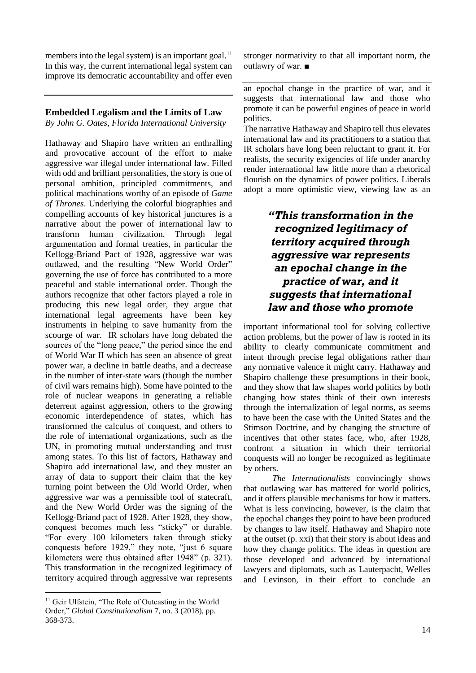members into the legal system) is an important goal.<sup>11</sup> In this way, the current international legal system can improve its democratic accountability and offer even

#### **Embedded Legalism and the Limits of Law**

*By John G. Oates, Florida International University*

Hathaway and Shapiro have written an enthralling and provocative account of the effort to make aggressive war illegal under international law. Filled with odd and brilliant personalities, the story is one of personal ambition, principled commitments, and political machinations worthy of an episode of *Game of Thrones*. Underlying the colorful biographies and compelling accounts of key historical junctures is a narrative about the power of international law to transform human civilization. Through legal argumentation and formal treaties, in particular the Kellogg-Briand Pact of 1928, aggressive war was outlawed, and the resulting "New World Order" governing the use of force has contributed to a more peaceful and stable international order. Though the authors recognize that other factors played a role in producing this new legal order, they argue that international legal agreements have been key instruments in helping to save humanity from the scourge of war. IR scholars have long debated the sources of the "long peace," the period since the end of World War II which has seen an absence of great power war, a decline in battle deaths, and a decrease in the number of inter-state wars (though the number of civil wars remains high). Some have pointed to the role of nuclear weapons in generating a reliable deterrent against aggression, others to the growing economic interdependence of states, which has transformed the calculus of conquest, and others to the role of international organizations, such as the UN, in promoting mutual understanding and trust among states. To this list of factors, Hathaway and Shapiro add international law, and they muster an array of data to support their claim that the key turning point between the Old World Order, when aggressive war was a permissible tool of statecraft, and the New World Order was the signing of the Kellogg-Briand pact of 1928. After 1928, they show, conquest becomes much less "sticky" or durable. "For every 100 kilometers taken through sticky conquests before 1929," they note, "just 6 square kilometers were thus obtained after 1948" (p. 321). This transformation in the recognized legitimacy of territory acquired through aggressive war represents

1

stronger normativity to that all important norm, the outlawry of war. ■

an epochal change in the practice of war, and it suggests that international law and those who promote it can be powerful engines of peace in world politics.

The narrative Hathaway and Shapiro tell thus elevates international law and its practitioners to a station that IR scholars have long been reluctant to grant it. For realists, the security exigencies of life under anarchy render international law little more than a rhetorical flourish on the dynamics of power politics. Liberals adopt a more optimistic view, viewing law as an

## *"This transformation in the recognized legitimacy of territory acquired through aggressive war represents an epochal change in the practice of war, and it suggests that international law and those who promote*

important informational tool for solving collective action problems, but the power of law is rooted in its ability to clearly communicate commitment and intent through precise legal obligations rather than any normative valence it might carry. Hathaway and Shapiro challenge these presumptions in their book, and they show that law shapes world politics by both changing how states think of their own interests through the internalization of legal norms, as seems to have been the case with the United States and the Stimson Doctrine, and by changing the structure of incentives that other states face, who, after 1928, confront a situation in which their territorial conquests will no longer be recognized as legitimate by others.

*The Internationalists* convincingly shows that outlawing war has mattered for world politics, and it offers plausible mechanisms for how it matters. What is less convincing, however, is the claim that the epochal changes they point to have been produced by changes to law itself. Hathaway and Shapiro note at the outset (p. xxi) that their story is about ideas and how they change politics. The ideas in question are those developed and advanced by international lawyers and diplomats, such as Lauterpacht, Welles and Levinson, in their effort to conclude an

<sup>&</sup>lt;sup>11</sup> Geir Ulfstein, "The Role of Outcasting in the World Order," *Global Constitutionalism* 7, no. 3 (2018), pp. 368-373.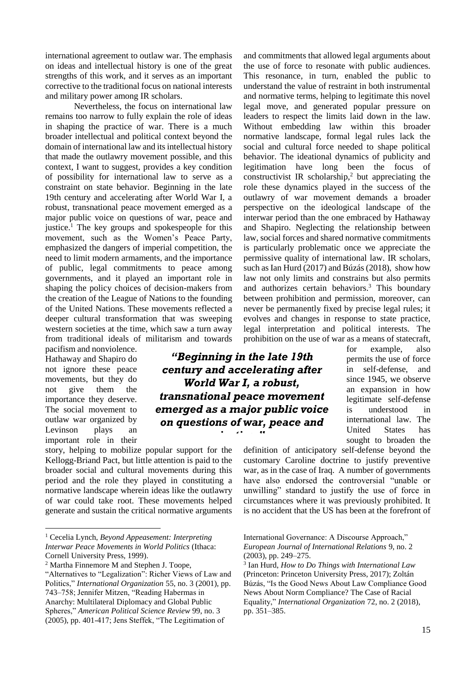international agreement to outlaw war. The emphasis on ideas and intellectual history is one of the great strengths of this work, and it serves as an important corrective to the traditional focus on national interests and military power among IR scholars.

Nevertheless, the focus on international law remains too narrow to fully explain the role of ideas in shaping the practice of war. There is a much broader intellectual and political context beyond the domain of international law and its intellectual history that made the outlawry movement possible, and this context, I want to suggest, provides a key condition of possibility for international law to serve as a constraint on state behavior. Beginning in the late 19th century and accelerating after World War I, a robust, transnational peace movement emerged as a major public voice on questions of war, peace and justice.<sup>1</sup> The key groups and spokespeople for this movement, such as the Women's Peace Party, emphasized the dangers of imperial competition, the need to limit modern armaments, and the importance of public, legal commitments to peace among governments, and it played an important role in shaping the policy choices of decision-makers from the creation of the League of Nations to the founding of the United Nations. These movements reflected a deeper cultural transformation that was sweeping western societies at the time, which saw a turn away from traditional ideals of militarism and towards

pacifism and nonviolence. Hathaway and Shapiro do not ignore these peace movements, but they do not give them the importance they deserve. The social movement to outlaw war organized by Levinson plays an important role in their

1

story, helping to mobilize popular support for the Kellogg-Briand Pact, but little attention is paid to the broader social and cultural movements during this period and the role they played in constituting a normative landscape wherein ideas like the outlawry of war could take root. These movements helped generate and sustain the critical normative arguments

and commitments that allowed legal arguments about the use of force to resonate with public audiences. This resonance, in turn, enabled the public to understand the value of restraint in both instrumental and normative terms, helping to legitimate this novel legal move, and generated popular pressure on leaders to respect the limits laid down in the law. Without embedding law within this broader normative landscape, formal legal rules lack the social and cultural force needed to shape political behavior. The ideational dynamics of publicity and legitimation have long been the focus of constructivist IR scholarship,<sup>2</sup> but appreciating the role these dynamics played in the success of the outlawry of war movement demands a broader perspective on the ideological landscape of the interwar period than the one embraced by Hathaway and Shapiro. Neglecting the relationship between law, social forces and shared normative commitments is particularly problematic once we appreciate the permissive quality of international law. IR scholars, such as Ian Hurd (2017) and Búzás (2018), show how law not only limits and constrains but also permits and authorizes certain behaviors.<sup>3</sup> This boundary between prohibition and permission, moreover, can never be permanently fixed by precise legal rules; it evolves and changes in response to state practice, legal interpretation and political interests. The prohibition on the use of war as a means of statecraft,

## *"Beginning in the late 19th century and accelerating after World War I, a robust, transnational peace movement emerged as a major public voice on questions of war, peace and justice."*

for example, also permits the use of force in self-defense, and since 1945, we observe an expansion in how legitimate self-defense is understood in international law. The United States has sought to broaden the

definition of anticipatory self-defense beyond the customary Caroline doctrine to justify preventive war, as in the case of Iraq. A number of governments have also endorsed the controversial "unable or unwilling" standard to justify the use of force in circumstances where it was previously prohibited. It is no accident that the US has been at the forefront of

<sup>1</sup> Cecelia Lynch, *Beyond Appeasement: Interpreting Interwar Peace Movements in World Politics* (Ithaca: Cornell University Press, 1999).

<sup>2</sup> Martha Finnemore M and Stephen J. Toope,

<sup>&</sup>quot;Alternatives to "Legalization": Richer Views of Law and Politics," *International Organization* 55, no. 3 (2001), pp. 743–758; Jennifer Mitzen, "Reading Habermas in Anarchy: Multilateral Diplomacy and Global Public Spheres," *American Political Science Review* 99, no. 3 (2005), pp. 401-417; Jens Steffek, "The Legitimation of

International Governance: A Discourse Approach," *European Journal of International Relations* 9, no. 2 (2003), pp. 249–275.

<sup>3</sup> Ian Hurd, *How to Do Things with International Law*  (Princeton: Princeton University Press, 2017); Zoltán Búzás, "Is the Good News About Law Compliance Good News About Norm Compliance? The Case of Racial Equality," *International Organization* 72, no. 2 (2018), pp. 351–385.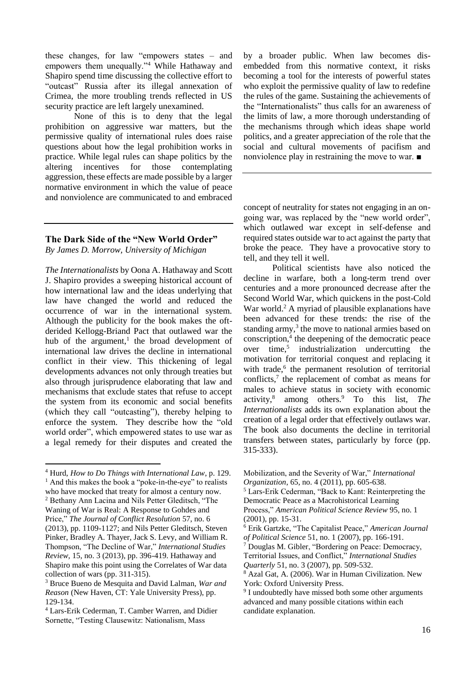these changes, for law "empowers states – and empowers them unequally."<sup>4</sup> While Hathaway and Shapiro spend time discussing the collective effort to "outcast" Russia after its illegal annexation of Crimea, the more troubling trends reflected in US security practice are left largely unexamined.

None of this is to deny that the legal prohibition on aggressive war matters, but the permissive quality of international rules does raise questions about how the legal prohibition works in practice. While legal rules can shape politics by the altering incentives for those contemplating aggression, these effects are made possible by a larger normative environment in which the value of peace and nonviolence are communicated to and embraced

#### **The Dark Side of the "New World Order"**

*By James D. Morrow, University of Michigan*

*The Internationalists* by Oona A. Hathaway and Scott J. Shapiro provides a sweeping historical account of how international law and the ideas underlying that law have changed the world and reduced the occurrence of war in the international system. Although the publicity for the book makes the oftderided Kellogg-Briand Pact that outlawed war the hub of the argument,<sup>1</sup> the broad development of international law drives the decline in international conflict in their view. This thickening of legal developments advances not only through treaties but also through jurisprudence elaborating that law and mechanisms that exclude states that refuse to accept the system from its economic and social benefits (which they call "outcasting"), thereby helping to enforce the system. They describe how the "old world order", which empowered states to use war as a legal remedy for their disputes and created the

<sup>4</sup> Hurd, *How to Do Things with International Law*, p. 129.  $<sup>1</sup>$  And this makes the book a "poke-in-the-eye" to realists</sup> who have mocked that treaty for almost a century now. <sup>2</sup> Bethany Ann Lacina and Nils Petter Gleditsch, "The Waning of War is Real: A Response to Gohdes and Price," *The Journal of Conflict Resolution* 57, no. 6 (2013), pp. 1109-1127; and Nils Petter Gleditsch, Steven Pinker, Bradley A. Thayer, Jack S. Levy, and William R. Thompson, "The Decline of War," *International Studies Review,* 15, no. 3 (2013), pp. 396-419. Hathaway and Shapiro make this point using the Correlates of War data collection of wars (pp. 311-315).

<u>.</u>

by a broader public. When law becomes disembedded from this normative context, it risks becoming a tool for the interests of powerful states who exploit the permissive quality of law to redefine the rules of the game. Sustaining the achievements of the "Internationalists" thus calls for an awareness of the limits of law, a more thorough understanding of the mechanisms through which ideas shape world politics, and a greater appreciation of the role that the social and cultural movements of pacifism and nonviolence play in restraining the move to war. ■

concept of neutrality for states not engaging in an ongoing war, was replaced by the "new world order", which outlawed war except in self-defense and required states outside war to act against the party that broke the peace. They have a provocative story to tell, and they tell it well.

Political scientists have also noticed the decline in warfare, both a long-term trend over centuries and a more pronounced decrease after the Second World War, which quickens in the post-Cold War world.<sup>2</sup> A myriad of plausible explanations have been advanced for these trends: the rise of the standing army,<sup>3</sup> the move to national armies based on conscription,<sup>4</sup> the deepening of the democratic peace over time,<sup>5</sup> industrialization undercutting the motivation for territorial conquest and replacing it with trade,<sup>6</sup> the permanent resolution of territorial conflicts,<sup>7</sup> the replacement of combat as means for males to achieve status in society with economic activity,<sup>8</sup> among others.<sup>9</sup> To this list, *The Internationalists* adds its own explanation about the creation of a legal order that effectively outlaws war. The book also documents the decline in territorial transfers between states, particularly by force (pp. 315-333).

<sup>3</sup> Bruce Bueno de Mesquita and David Lalman, *War and Reason* (New Haven, CT: Yale University Press), pp. 129-134.

<sup>4</sup> Lars-Erik Cederman, T. Camber Warren, and Didier Sornette, "Testing Clausewitz: Nationalism, Mass

Mobilization, and the Severity of War," *International Organization*, 65, no. 4 (2011), pp. 605-638.

<sup>5</sup> Lars-Erik Cederman, "Back to Kant: Reinterpreting the Democratic Peace as a Macrohistorical Learning Process," *American Political Science Review* 95, no. 1 (2001), pp. 15-31.

<sup>6</sup> Erik Gartzke, "The Capitalist Peace," *American Journal of Political Science* 51, no. 1 (2007), pp. 166-191.

 $\frac{7}{7}$  Douglas M. Gibler, "Bordering on Peace: Democracy, Territorial Issues, and Conflict," *International Studies Quarterly* 51, no. 3 (2007), pp. 509-532.

<sup>8</sup> Azal Gat, A. (2006). War in Human Civilization. New York: Oxford University Press.

<sup>&</sup>lt;sup>9</sup> I undoubtedly have missed both some other arguments advanced and many possible citations within each candidate explanation.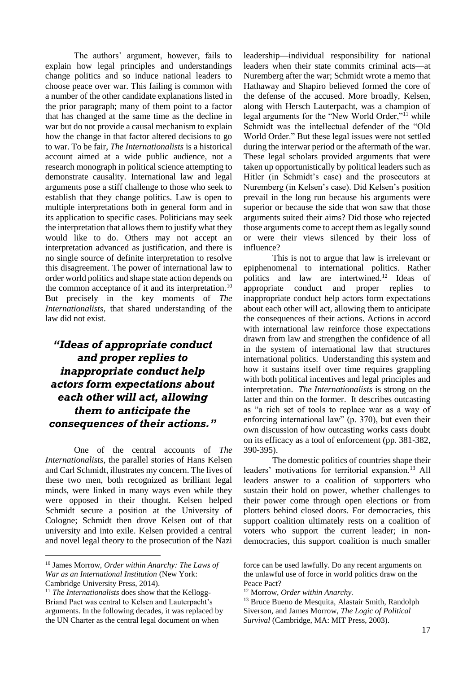The authors' argument, however, fails to explain how legal principles and understandings change politics and so induce national leaders to choose peace over war. This failing is common with a number of the other candidate explanations listed in the prior paragraph; many of them point to a factor that has changed at the same time as the decline in war but do not provide a causal mechanism to explain how the change in that factor altered decisions to go to war. To be fair, *The Internationalists* is a historical account aimed at a wide public audience, not a research monograph in political science attempting to demonstrate causality. International law and legal arguments pose a stiff challenge to those who seek to establish that they change politics. Law is open to multiple interpretations both in general form and in its application to specific cases. Politicians may seek the interpretation that allows them to justify what they would like to do. Others may not accept an interpretation advanced as justification, and there is no single source of definite interpretation to resolve this disagreement. The power of international law to order world politics and shape state action depends on the common acceptance of it and its interpretation.<sup>10</sup> But precisely in the key moments of *The Internationalists*, that shared understanding of the law did not exist.

## *"Ideas of appropriate conduct and proper replies to inappropriate conduct help actors form expectations about each other will act, allowing them to anticipate the consequences of their actions."*

One of the central accounts of *The Internationalists*, the parallel stories of Hans Kelsen and Carl Schmidt, illustrates my concern. The lives of these two men, both recognized as brilliant legal minds, were linked in many ways even while they were opposed in their thought. Kelsen helped Schmidt secure a position at the University of Cologne; Schmidt then drove Kelsen out of that university and into exile. Kelsen provided a central and novel legal theory to the prosecution of the Nazi

1

leadership—individual responsibility for national leaders when their state commits criminal acts—at Nuremberg after the war; Schmidt wrote a memo that Hathaway and Shapiro believed formed the core of the defense of the accused. More broadly, Kelsen, along with Hersch Lauterpacht, was a champion of legal arguments for the "New World Order,"<sup>11</sup> while Schmidt was the intellectual defender of the "Old World Order." But these legal issues were not settled during the interwar period or the aftermath of the war. These legal scholars provided arguments that were taken up opportunistically by political leaders such as Hitler (in Schmidt's case) and the prosecutors at Nuremberg (in Kelsen's case). Did Kelsen's position prevail in the long run because his arguments were superior or because the side that won saw that those arguments suited their aims? Did those who rejected those arguments come to accept them as legally sound or were their views silenced by their loss of influence?

This is not to argue that law is irrelevant or epiphenomenal to international politics. Rather politics and law are intertwined.<sup>12</sup> Ideas of appropriate conduct and proper replies to inappropriate conduct help actors form expectations about each other will act, allowing them to anticipate the consequences of their actions. Actions in accord with international law reinforce those expectations drawn from law and strengthen the confidence of all in the system of international law that structures international politics. Understanding this system and how it sustains itself over time requires grappling with both political incentives and legal principles and interpretation. *The Internationalists* is strong on the latter and thin on the former. It describes outcasting as "a rich set of tools to replace war as a way of enforcing international law" (p. 370), but even their own discussion of how outcasting works casts doubt on its efficacy as a tool of enforcement (pp. 381-382, 390-395).

The domestic politics of countries shape their leaders' motivations for territorial expansion.<sup>13</sup> All leaders answer to a coalition of supporters who sustain their hold on power, whether challenges to their power come through open elections or from plotters behind closed doors. For democracies, this support coalition ultimately rests on a coalition of voters who support the current leader; in nondemocracies, this support coalition is much smaller

<sup>10</sup> James Morrow, *Order within Anarchy: The Laws of War as an International Institution* (New York: Cambridge University Press, 2014).

<sup>&</sup>lt;sup>11</sup> *The Internationalists* does show that the Kellogg-Briand Pact was central to Kelsen and Lauterpacht's arguments. In the following decades, it was replaced by the UN Charter as the central legal document on when

force can be used lawfully. Do any recent arguments on the unlawful use of force in world politics draw on the Peace Pact?

<sup>12</sup> Morrow, *Order within Anarchy.*

<sup>13</sup> Bruce Bueno de Mesquita, Alastair Smith, Randolph Siverson, and James Morrow, *The Logic of Political Survival* (Cambridge, MA: MIT Press, 2003).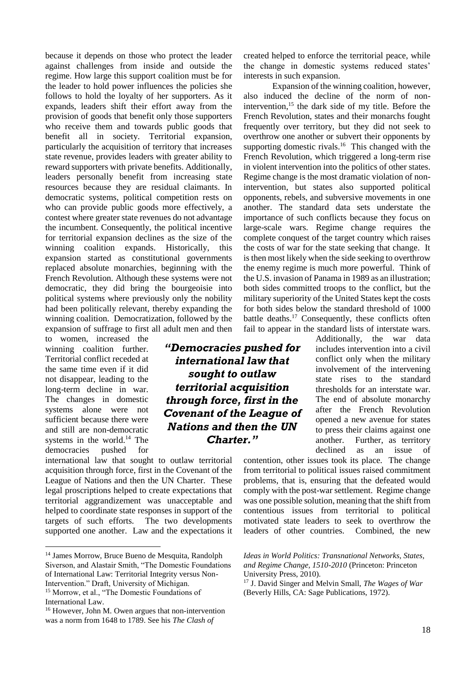because it depends on those who protect the leader against challenges from inside and outside the regime. How large this support coalition must be for the leader to hold power influences the policies she follows to hold the loyalty of her supporters. As it expands, leaders shift their effort away from the provision of goods that benefit only those supporters who receive them and towards public goods that benefit all in society. Territorial expansion, particularly the acquisition of territory that increases state revenue, provides leaders with greater ability to reward supporters with private benefits. Additionally, leaders personally benefit from increasing state resources because they are residual claimants. In democratic systems, political competition rests on who can provide public goods more effectively, a contest where greater state revenues do not advantage the incumbent. Consequently, the political incentive for territorial expansion declines as the size of the winning coalition expands. Historically, this expansion started as constitutional governments replaced absolute monarchies, beginning with the French Revolution. Although these systems were not democratic, they did bring the bourgeoisie into political systems where previously only the nobility had been politically relevant, thereby expanding the winning coalition. Democratization, followed by the expansion of suffrage to first all adult men and then

to women, increased the winning coalition further. Territorial conflict receded at the same time even if it did not disappear, leading to the long-term decline in war. The changes in domestic systems alone were not sufficient because there were and still are non-democratic systems in the world. $14$  The democracies pushed for

1

international law that sought to outlaw territorial acquisition through force, first in the Covenant of the League of Nations and then the UN Charter. These legal proscriptions helped to create expectations that territorial aggrandizement was unacceptable and helped to coordinate state responses in support of the targets of such efforts. The two developments supported one another. Law and the expectations it created helped to enforce the territorial peace, while the change in domestic systems reduced states' interests in such expansion.

Expansion of the winning coalition, however, also induced the decline of the norm of nonintervention, $15$  the dark side of my title. Before the French Revolution, states and their monarchs fought frequently over territory, but they did not seek to overthrow one another or subvert their opponents by supporting domestic rivals.<sup>16</sup> This changed with the French Revolution, which triggered a long-term rise in violent intervention into the politics of other states. Regime change is the most dramatic violation of nonintervention, but states also supported political opponents, rebels, and subversive movements in one another. The standard data sets understate the importance of such conflicts because they focus on large-scale wars. Regime change requires the complete conquest of the target country which raises the costs of war for the state seeking that change. It is then most likely when the side seeking to overthrow the enemy regime is much more powerful. Think of the U.S. invasion of Panama in 1989 as an illustration; both sides committed troops to the conflict, but the military superiority of the United States kept the costs for both sides below the standard threshold of 1000 battle deaths.<sup>17</sup> Consequently, these conflicts often fail to appear in the standard lists of interstate wars.

Additionally, the war data includes intervention into a civil conflict only when the military involvement of the intervening state rises to the standard thresholds for an interstate war. The end of absolute monarchy after the French Revolution opened a new avenue for states to press their claims against one another. Further, as territory declined as an issue of

contention, other issues took its place. The change from territorial to political issues raised commitment problems, that is, ensuring that the defeated would comply with the post-war settlement. Regime change was one possible solution, meaning that the shift from contentious issues from territorial to political motivated state leaders to seek to overthrow the leaders of other countries. Combined, the new

*"Democracies pushed for international law that sought to outlaw territorial acquisition through force, first in the Covenant of the League of Nations and then the UN Charter."*

<sup>14</sup> James Morrow, Bruce Bueno de Mesquita, Randolph Siverson, and Alastair Smith, "The Domestic Foundations of International Law: Territorial Integrity versus Non-Intervention." Draft, University of Michigan.

<sup>15</sup> Morrow, et al., "The Domestic Foundations of International Law.

<sup>16</sup> However, John M. Owen argues that non-intervention was a norm from 1648 to 1789. See his *The Clash of* 

*Ideas in World Politics: Transnational Networks, States, and Regime Change, 1510-2010* (Princeton: Princeton University Press, 2010).

<sup>17</sup> J. David Singer and Melvin Small, *The Wages of War* (Beverly Hills, CA: Sage Publications, 1972).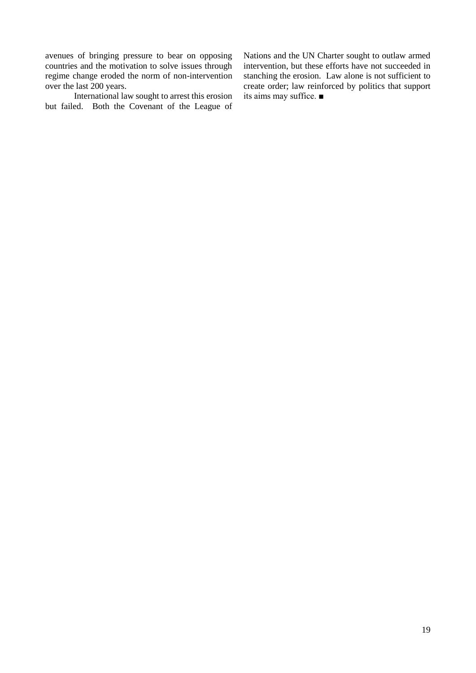avenues of bringing pressure to bear on opposing countries and the motivation to solve issues through regime change eroded the norm of non-intervention over the last 200 years.

International law sought to arrest this erosion but failed. Both the Covenant of the League of

Nations and the UN Charter sought to outlaw armed intervention, but these efforts have not succeeded in stanching the erosion. Law alone is not sufficient to create order; law reinforced by politics that support its aims may suffice. ■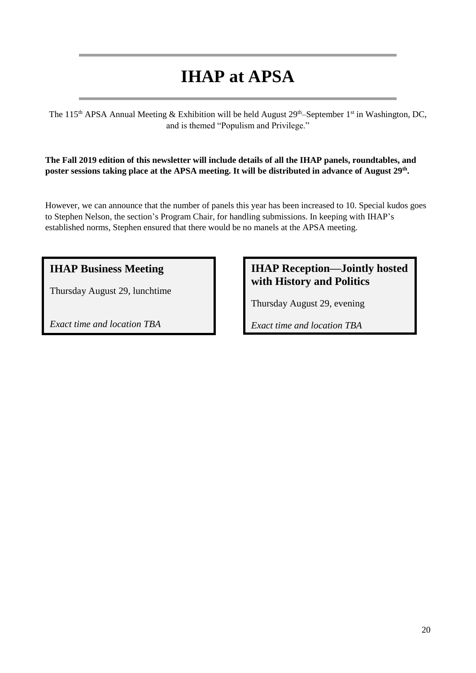# **IHAP at APSA**

The 115<sup>th</sup> APSA Annual Meeting & Exhibition will be held August  $29<sup>th</sup>$ –September 1<sup>st</sup> in Washington, DC, and is themed "Populism and Privilege."

**The Fall 2019 edition of this newsletter will include details of all the IHAP panels, roundtables, and poster sessions taking place at the APSA meeting. It will be distributed in advance of August 29th .**

However, we can announce that the number of panels this year has been increased to 10. Special kudos goes to Stephen Nelson, the section's Program Chair, for handling submissions. In keeping with IHAP's established norms, Stephen ensured that there would be no manels at the APSA meeting.

## **IHAP Business Meeting**

Thursday August 29, lunchtime

*Exact time and location TBA*

## **IHAP Reception—Jointly hosted with History and Politics**

Thursday August 29, evening

*Exact time and location TBA*